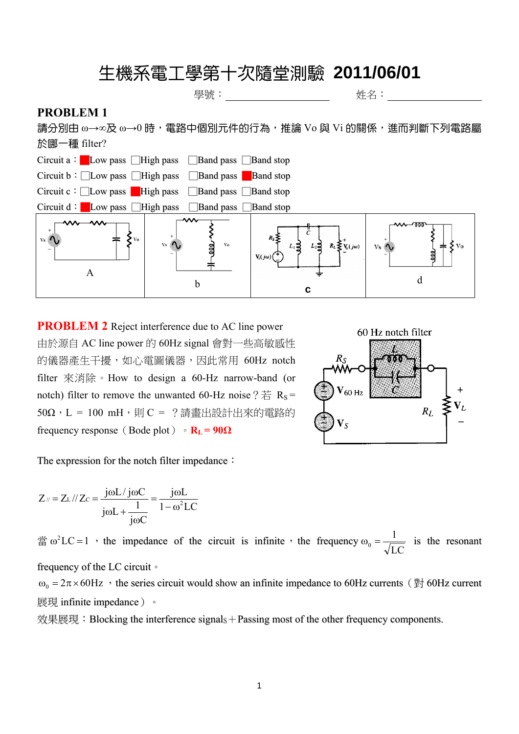## 生機系電工學第十次隨堂測驗 **2011/06/01**

學號: 李武 经一个人的 经名: 经一个人的

## **PROBLEM 1**

請分別由 ω→∞及 ω→0 時,電路中個別元件的行為,推論 Vo 與 Vi 的關係,進而判斷下列電路屬 於哪一種 filter?



**PROBLEM 2** Reject interference due to AC line power 由於源自 AC line power 的 60Hz signal 會對一些高敏感性 的儀器產生干擾,如心電圖儀器,因此常用 60Hz notch filter 來消除。How to design a 60-Hz narrow-band (or notch) filter to remove the unwanted 60-Hz noise ?  $#$  R<sub>S</sub> =  $50\Omega$ , L = 100 mH, 則 C = ?請畫出設計出來的電路的 frequency response (Bode plot)  $\cdot$  **R**<sub>L</sub> = 90 $\Omega$ 



The expression for the notch filter impedance:

$$
Z_{\parallel} = Z_{L} / \mid Z_{C} = \frac{j\omega L / j\omega C}{j\omega L + \frac{1}{j\omega C}} = \frac{j\omega L}{1 - \omega^{2} LC}
$$

 $\hat{\text{m}} \omega^2 LC = 1$ , the impedance of the circuit is infinite, the frequency  $\omega_0 = \frac{1}{\sqrt{LC}}$  is the resonant frequency of the LC circuit。

 $\omega_0 = 2\pi \times 60$  Hz  $\cdot$  the series circuit would show an infinite impedance to 60Hz currents ( $\frac{4\pi}{20}$  60Hz current

展現 infinite impedance)。

效果展現: Blocking the interference signals + Passing most of the other frequency components.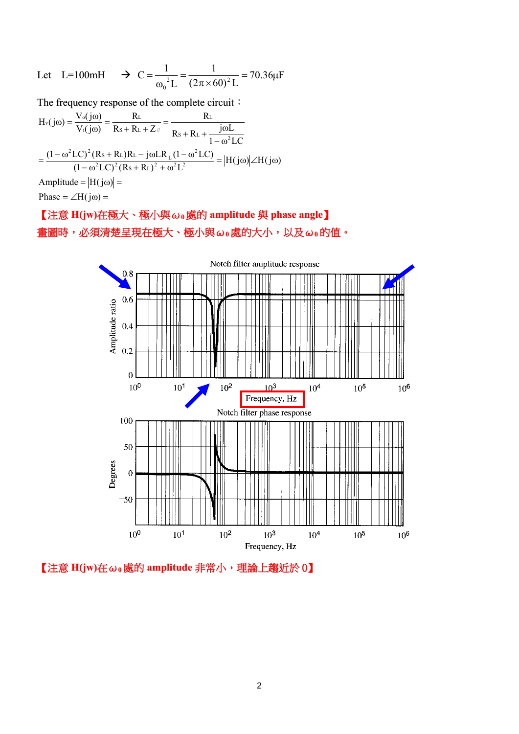Let L=100mH 
$$
\rightarrow
$$
 C =  $\frac{1}{\omega_0^2 L} = \frac{1}{(2\pi \times 60)^2 L} = 70.36 \mu F$ 

The frequency response of the complete circuit:

$$
H_v(j\omega) = \frac{V_o(j\omega)}{V_i(j\omega)} = \frac{R_L}{R_S + R_L + Z_{\text{in}}} = \frac{R_L}{R_S + R_L + \frac{j\omega L}{1 - \omega^2 LC}}
$$

$$
= \frac{(1 - \omega^2 LC)^2 (R_S + R_L)R_L - j\omega LR_L(1 - \omega^2 LC)}{(1 - \omega^2 LC)^2 (R_S + R_L)^2 + \omega^2 L^2} = |H(j\omega)| \angle H(j\omega)
$$
Amplitude = |H(j\omega)| =

Phase =  $\angle H(j\omega)$  =

## 【注意 **H(jw)**在極大、極小與ω**<sup>0</sup>** 處的 **amplitude** 與 **phase angle**】 畫圖時,必須清楚呈現在極大、極小與ω**<sup>0</sup>** 處的大小,以及ω**<sup>0</sup>** 的值。



【注意 **H(jw)**在ω**<sup>0</sup>** 處的 **amplitude** 非常小,理論上趨近於 0】